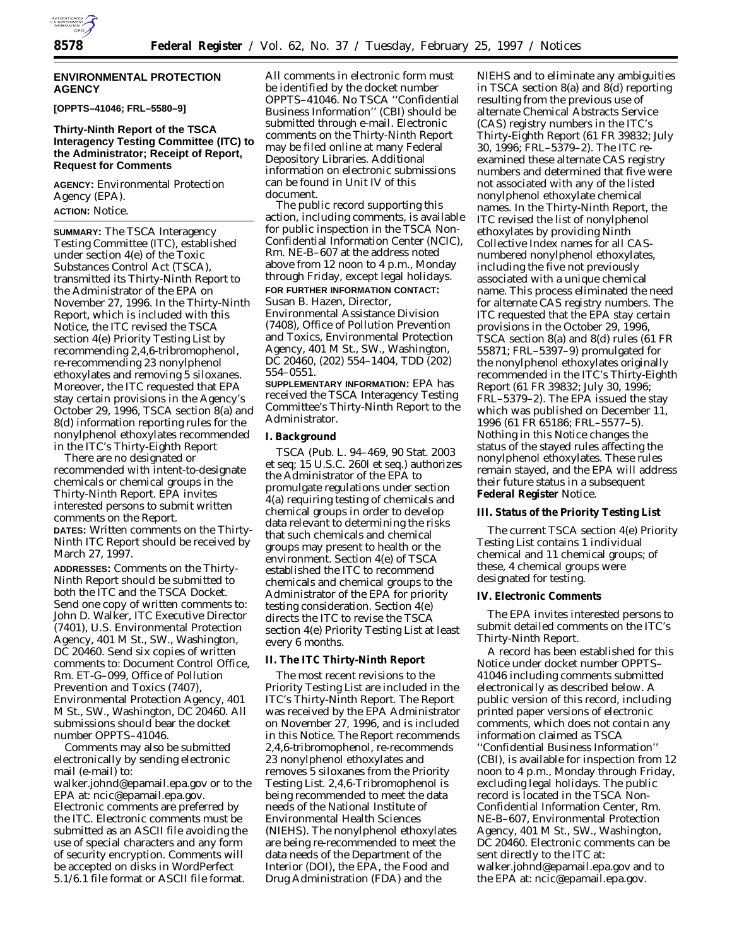

### **ENVIRONMENTAL PROTECTION AGENCY**

**[OPPTS–41046; FRL–5580–9]**

# **Thirty-Ninth Report of the TSCA Interagency Testing Committee (ITC) to the Administrator; Receipt of Report, Request for Comments**

**AGENCY:** Environmental Protection Agency (EPA).

# **ACTION:** Notice.

**SUMMARY:** The TSCA Interagency Testing Committee (ITC), established under section 4(e) of the Toxic Substances Control Act (TSCA), transmitted its Thirty-Ninth Report to the Administrator of the EPA on November 27, 1996. In the Thirty-Ninth Report, which is included with this Notice, the ITC revised the TSCA section 4(e) *Priority Testing List* by recommending 2,4,6-tribromophenol, re-recommending 23 nonylphenol ethoxylates and removing 5 siloxanes. Moreover, the ITC requested that EPA stay certain provisions in the Agency's October 29, 1996, TSCA section 8(a) and 8(d) information reporting rules for the nonylphenol ethoxylates recommended in the ITC's Thirty-Eighth Report

There are no designated or recommended with intent-to-designate chemicals or chemical groups in the Thirty-Ninth Report. EPA invites interested persons to submit written comments on the Report. **DATES:** Written comments on the Thirty-Ninth ITC Report should be received by March 27, 1997.

**ADDRESSES:** Comments on the Thirty-Ninth Report should be submitted to both the ITC and the TSCA Docket. Send one copy of written comments to: John D. Walker, ITC Executive Director (7401), U.S. Environmental Protection Agency, 401 M St., SW., Washington, DC 20460. Send six copies of written comments to: Document Control Office, Rm. ET-G–099, Office of Pollution Prevention and Toxics (7407), Environmental Protection Agency, 401 M St., SW., Washington, DC 20460. All submissions should bear the docket number OPPTS–41046.

Comments may also be submitted electronically by sending electronic mail (e-mail) to:

walker.johnd@epamail.epa.gov or to the EPA at: ncic@epamail.epa.gov. Electronic comments are preferred by the ITC. Electronic comments must be submitted as an ASCII file avoiding the use of special characters and any form of security encryption. Comments will be accepted on disks in WordPerfect 5.1/6.1 file format or ASCII file format.

All comments in electronic form must be identified by the docket number OPPTS–41046. No TSCA ''Confidential Business Information'' (CBI) should be submitted through e-mail. Electronic comments on the Thirty-Ninth Report may be filed online at many Federal Depository Libraries. Additional information on electronic submissions can be found in Unit IV of this document.

The public record supporting this action, including comments, is available for public inspection in the TSCA Non-Confidential Information Center (NCIC), Rm. NE-B–607 at the address noted above from 12 noon to 4 p.m., Monday through Friday, except legal holidays. **FOR FURTHER INFORMATION CONTACT:** Susan B. Hazen, Director, Environmental Assistance Division (7408), Office of Pollution Prevention and Toxics, Environmental Protection Agency, 401 M St., SW., Washington, DC 20460, (202) 554–1404, TDD (202) 554–0551.

**SUPPLEMENTARY INFORMATION:** EPA has received the TSCA Interagency Testing Committee's Thirty-Ninth Report to the Administrator.

### **I. Background**

TSCA (Pub. L. 94–469, 90 Stat. 2003 et seq; 15 U.S.C. 260l et seq.) authorizes the Administrator of the EPA to promulgate regulations under section 4(a) requiring testing of chemicals and chemical groups in order to develop data relevant to determining the risks that such chemicals and chemical groups may present to health or the environment. Section 4(e) of TSCA established the ITC to recommend chemicals and chemical groups to the Administrator of the EPA for priority testing consideration. Section 4(e) directs the ITC to revise the TSCA section 4(e) *Priority Testing List* at least every 6 months.

# **II. The ITC Thirty-Ninth Report**

The most recent revisions to the *Priority Testing List* are included in the ITC's Thirty-Ninth Report. The Report was received by the EPA Administrator on November 27, 1996, and is included in this Notice. The Report recommends 2,4,6-tribromophenol, re-recommends 23 nonylphenol ethoxylates and removes 5 siloxanes from the *Priority Testing List*. 2,4,6-Tribromophenol is being recommended to meet the data needs of the National Institute of Environmental Health Sciences (NIEHS). The nonylphenol ethoxylates are being re-recommended to meet the data needs of the Department of the Interior (DOI), the EPA, the Food and Drug Administration (FDA) and the

NIEHS and to eliminate any ambiguities in TSCA section 8(a) and 8(d) reporting resulting from the previous use of alternate Chemical Abstracts Service (CAS) registry numbers in the ITC's Thirty-Eighth Report (61 FR 39832; July 30, 1996; FRL–5379–2). The ITC reexamined these alternate CAS registry numbers and determined that five were not associated with any of the listed nonylphenol ethoxylate chemical names. In the Thirty-Ninth Report, the ITC revised the list of nonylphenol ethoxylates by providing Ninth Collective Index names for all CASnumbered nonylphenol ethoxylates, including the five not previously associated with a unique chemical name. This process eliminated the need for alternate CAS registry numbers. The ITC requested that the EPA stay certain provisions in the October 29, 1996, TSCA section 8(a) and 8(d) rules (61 FR 55871; FRL–5397–9) promulgated for the nonylphenol ethoxylates originally recommended in the ITC's Thirty-Eighth Report (61 FR 39832; July 30, 1996; FRL–5379–2). The EPA issued the stay which was published on December 11, 1996 (61 FR 65186; FRL–5577–5). Nothing in this Notice changes the status of the stayed rules affecting the nonylphenol ethoxylates. These rules remain stayed, and the EPA will address their future status in a subsequent **Federal Register** Notice.

### **III. Status of the Priority Testing List**

The current TSCA section 4(e) *Priority Testing List* contains 1 individual chemical and 11 chemical groups; of these, 4 chemical groups were designated for testing.

#### **IV. Electronic Comments**

The EPA invites interested persons to submit detailed comments on the ITC's Thirty-Ninth Report.

A record has been established for this Notice under docket number OPPTS– 41046 including comments submitted electronically as described below. A public version of this record, including printed paper versions of electronic comments, which does not contain any information claimed as TSCA ''Confidential Business Information'' (CBI), is available for inspection from 12 noon to 4 p.m., Monday through Friday, excluding legal holidays. The public record is located in the TSCA Non-Confidential Information Center, Rm. NE-B–607, Environmental Protection Agency, 401 M St., SW., Washington, DC 20460. Electronic comments can be sent directly to the ITC at: walker.johnd@epamail.epa.gov and to the EPA at: ncic@epamail.epa.gov.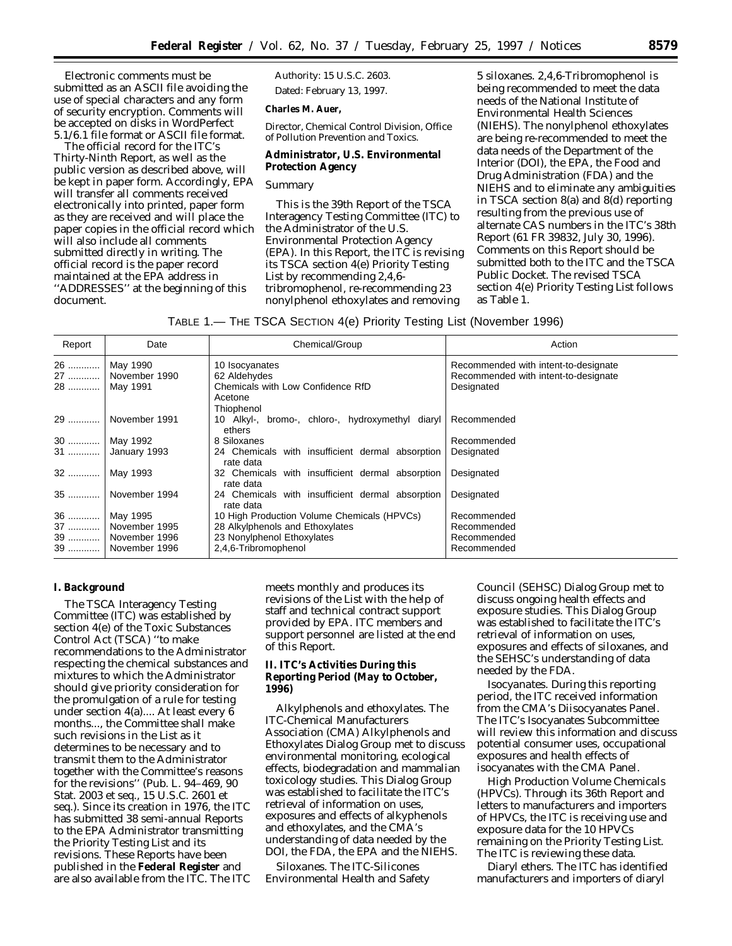Electronic comments must be submitted as an ASCII file avoiding the use of special characters and any form of security encryption. Comments will be accepted on disks in WordPerfect 5.1/6.1 file format or ASCII file format.

The official record for the ITC's Thirty-Ninth Report, as well as the public version as described above, will be kept in paper form. Accordingly, EPA will transfer all comments received electronically into printed, paper form as they are received and will place the paper copies in the official record which will also include all comments submitted directly in writing. The official record is the paper record maintained at the EPA address in ''ADDRESSES'' at the beginning of this document.

Authority: 15 U.S.C. 2603. Dated: February 13, 1997.

**Charles M. Auer,**

*Director, Chemical Control Division, Office of Pollution Prevention and Toxics.*

**Administrator, U.S. Environmental Protection Agency**

# *Summary*

This is the 39th Report of the TSCA Interagency Testing Committee (ITC) to the Administrator of the U.S. Environmental Protection Agency (EPA). In this Report, the ITC is revising its TSCA section 4(e) *Priority Testing List* by recommending 2,4,6 tribromophenol, re-recommending 23 nonylphenol ethoxylates and removing

5 siloxanes. 2,4,6-Tribromophenol is being recommended to meet the data needs of the National Institute of Environmental Health Sciences (NIEHS). The nonylphenol ethoxylates are being re-recommended to meet the data needs of the Department of the Interior (DOI), the EPA, the Food and Drug Administration (FDA) and the NIEHS and to eliminate any ambiguities in TSCA section 8(a) and 8(d) reporting resulting from the previous use of alternate CAS numbers in the ITC's 38th Report (61 FR 39832, July 30, 1996). Comments on this Report should be submitted both to the ITC and the TSCA Public Docket. The revised TSCA section 4(e) *Priority Testing List* follows as Table 1.

TABLE 1.— THE TSCA SECTION 4(e) Priority Testing List (November 1996)

| Report | Date          | Chemical/Group                                                | Action                               |
|--------|---------------|---------------------------------------------------------------|--------------------------------------|
| 26     | May 1990      | 10 Isocyanates                                                | Recommended with intent-to-designate |
| 27     | November 1990 | 62 Aldehydes                                                  | Recommended with intent-to-designate |
| 28     | May 1991      | Chemicals with Low Confidence RfD<br>Acetone                  | Designated                           |
|        |               | Thiophenol                                                    |                                      |
| 29     | November 1991 | 10 Alkyl-, bromo-, chloro-, hydroxymethyl diaryl<br>ethers    | Recommended                          |
| $30$   | May 1992      | 8 Siloxanes                                                   | Recommended                          |
| 31     | January 1993  | 24 Chemicals with insufficient dermal absorption<br>rate data | Designated                           |
| 32     | May 1993      | 32 Chemicals with insufficient dermal absorption<br>rate data | Designated                           |
| $35$   | November 1994 | 24 Chemicals with insufficient dermal absorption<br>rate data | Designated                           |
| 36     | May 1995      | 10 High Production Volume Chemicals (HPVCs)                   | Recommended                          |
| 37     | November 1995 | 28 Alkylphenols and Ethoxylates                               | Recommended                          |
| 39     | November 1996 | 23 Nonylphenol Ethoxylates                                    | Recommended                          |
| 39     | November 1996 | 2,4,6-Tribromophenol                                          | Recommended                          |

### **I. Background**

The TSCA Interagency Testing Committee (ITC) was established by section 4(e) of the Toxic Substances Control Act (TSCA) ''to make recommendations to the Administrator respecting the chemical substances and mixtures to which the Administrator should give priority consideration for the promulgation of a rule for testing under section 4(a).... At least every 6 months..., the Committee shall make such revisions in the *List* as it determines to be necessary and to transmit them to the Administrator together with the Committee's reasons for the revisions'' (Pub. L. 94–469, 90 Stat. 2003 et seq., 15 U.S.C. 2601 et seq.). Since its creation in 1976, the ITC has submitted 38 semi-annual Reports to the EPA Administrator transmitting the *Priority Testing List* and its revisions. These Reports have been published in the **Federal Register** and are also available from the ITC. The ITC

meets monthly and produces its revisions of the *List* with the help of staff and technical contract support provided by EPA. ITC members and support personnel are listed at the end of this Report.

**II. ITC's Activities During this Reporting Period (May to October, 1996)**

*Alkylphenols and ethoxylates*. The ITC-Chemical Manufacturers Association (CMA) Alkylphenols and Ethoxylates Dialog Group met to discuss environmental monitoring, ecological effects, biodegradation and mammalian toxicology studies. This Dialog Group was established to facilitate the ITC's retrieval of information on uses, exposures and effects of alkyphenols and ethoxylates, and the CMA's understanding of data needed by the DOI, the FDA, the EPA and the NIEHS.

*Siloxanes*. The ITC-Silicones Environmental Health and Safety

Council (SEHSC) Dialog Group met to discuss ongoing health effects and exposure studies. This Dialog Group was established to facilitate the ITC's retrieval of information on uses, exposures and effects of siloxanes, and the SEHSC's understanding of data needed by the FDA.

*Isocyanates*. During this reporting period, the ITC received information from the CMA's Diisocyanates Panel. The ITC's Isocyanates Subcommittee will review this information and discuss potential consumer uses, occupational exposures and health effects of isocyanates with the CMA Panel.

*High Production Volume Chemicals (HPVCs)*. Through its 36th Report and letters to manufacturers and importers of HPVCs, the ITC is receiving use and exposure data for the 10 HPVCs remaining on the *Priority Testing List*. The ITC is reviewing these data.

*Diaryl ethers*. The ITC has identified manufacturers and importers of diaryl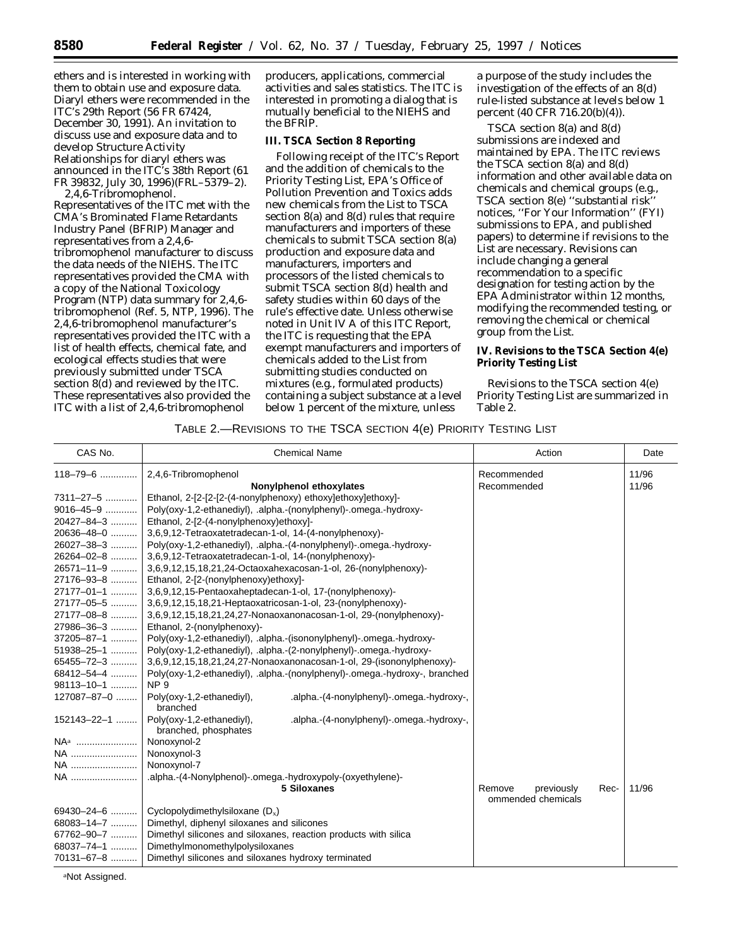ethers and is interested in working with them to obtain use and exposure data. Diaryl ethers were recommended in the ITC's 29th Report (56 FR 67424, December 30, 1991). An invitation to discuss use and exposure data and to develop Structure Activity Relationships for diaryl ethers was announced in the ITC's 38th Report (61 FR 39832, July 30, 1996)(FRL–5379–2). *2,4,6-Tribromophenol*.

Representatives of the ITC met with the CMA's Brominated Flame Retardants Industry Panel (BFRIP) Manager and representatives from a 2,4,6 tribromophenol manufacturer to discuss the data needs of the NIEHS. The ITC representatives provided the CMA with a copy of the National Toxicology Program (NTP) data summary for 2,4,6 tribromophenol (Ref. 5, NTP, 1996). The 2,4,6-tribromophenol manufacturer's representatives provided the ITC with a list of health effects, chemical fate, and ecological effects studies that were previously submitted under TSCA section 8(d) and reviewed by the ITC. These representatives also provided the ITC with a list of 2,4,6-tribromophenol

producers, applications, commercial activities and sales statistics. The ITC is interested in promoting a dialog that is mutually beneficial to the NIEHS and the BFRIP.

### **III. TSCA Section 8 Reporting**

Following receipt of the ITC's Report and the addition of chemicals to the *Priority Testing List*, EPA's Office of Pollution Prevention and Toxics adds new chemicals from the *List* to TSCA section 8(a) and 8(d) rules that require manufacturers and importers of these chemicals to submit TSCA section 8(a) production and exposure data and manufacturers, importers and processors of the listed chemicals to submit TSCA section 8(d) health and safety studies within 60 days of the rule's effective date. Unless otherwise noted in Unit IV A of this ITC Report, the ITC is requesting that the EPA exempt manufacturers and importers of chemicals added to the *List* from submitting studies conducted on mixtures (e.g., formulated products) containing a subject substance at a level below 1 percent of the mixture, unless

a purpose of the study includes the investigation of the effects of an 8(d) rule-listed substance at levels below 1 percent (40 CFR 716.20(b)(4)).

TSCA section 8(a) and 8(d) submissions are indexed and maintained by EPA. The ITC reviews the TSCA section 8(a) and 8(d) information and other available data on chemicals and chemical groups (e.g., TSCA section 8(e) ''substantial risk'' notices, ''For Your Information'' (FYI) submissions to EPA, and published papers) to determine if revisions to the List are necessary. Revisions can include changing a general recommendation to a specific designation for testing action by the EPA Administrator within 12 months, modifying the recommended testing, or removing the chemical or chemical group from the *List*.

**IV. Revisions to the TSCA Section 4(e) Priority Testing List**

Revisions to the TSCA section 4(e) *Priority Testing List* are summarized in Table 2.

# TABLE 2.—REVISIONS TO THE TSCA SECTION 4(e) PRIORITY TESTING LIST

| CAS No.          | <b>Chemical Name</b>                                                                                          | Action                       | Date  |
|------------------|---------------------------------------------------------------------------------------------------------------|------------------------------|-------|
| 118-79-6         | 2,4,6-Tribromophenol                                                                                          | Recommended                  | 11/96 |
|                  | Nonylphenol ethoxylates                                                                                       | Recommended                  | 11/96 |
| 7311-27-5        | Ethanol, 2-[2-[2-[2-(4-nonylphenoxy) ethoxy]ethoxy]ethoxy]-                                                   |                              |       |
| 9016-45-9        | Poly(oxy-1,2-ethanediyl), .alpha.-(nonylphenyl)-.omega.-hydroxy-                                              |                              |       |
| 20427-84-3       | Ethanol, 2-[2-(4-nonylphenoxy)ethoxy]-                                                                        |                              |       |
| 20636-48-0       | 3,6,9,12-Tetraoxatetradecan-1-ol, 14-(4-nonylphenoxy)-                                                        |                              |       |
| 26027-38-3       | Poly(oxy-1,2-ethanediyl), .alpha.-(4-nonylphenyl)-.omega.-hydroxy-                                            |                              |       |
| 26264-02-8       | 3,6,9,12-Tetraoxatetradecan-1-ol, 14-(nonylphenoxy)-                                                          |                              |       |
| 26571-11-9       | 3,6,9,12,15,18,21,24-Octaoxahexacosan-1-ol, 26-(nonylphenoxy)-                                                |                              |       |
| 27176-93-8       | Ethanol, 2-[2-(nonylphenoxy)ethoxy]-                                                                          |                              |       |
| 27177-01-1       | 3,6,9,12,15-Pentaoxaheptadecan-1-ol, 17-(nonylphenoxy)-                                                       |                              |       |
|                  | 27177-05-5  3,6,9,12,15,18,21-Heptaoxatricosan-1-ol, 23-(nonylphenoxy)-                                       |                              |       |
| 27177-08-8       | 3,6,9,12,15,18,21,24,27-Nonaoxanonacosan-1-ol, 29-(nonylphenoxy)-                                             |                              |       |
| 27986-36-3       | Ethanol, 2-(nonylphenoxy)-                                                                                    |                              |       |
|                  | 37205-87-1    Poly(oxy-1,2-ethanediyl), .alpha.-(isononylphenyl)-.omega.-hydroxy-                             |                              |       |
|                  | 51938-25-1    Poly(oxy-1,2-ethanediyl), .alpha.-(2-nonylphenyl)-.omega.-hydroxy-                              |                              |       |
| 65455-72-3       | 3,6,9,12,15,18,21,24,27-Nonaoxanonacosan-1-ol, 29-(isononylphenoxy)-                                          |                              |       |
| $68412 - 54 - 4$ | Poly(oxy-1,2-ethanediyl), .alpha.-(nonylphenyl)-.omega.-hydroxy-, branched                                    |                              |       |
| 98113-10-1       | NP <sub>9</sub>                                                                                               |                              |       |
|                  | 127087-87-0  Poly(oxy-1,2-ethanediyl),<br>.alpha.-(4-nonylphenyl)-.omega.-hydroxy-,<br>branched               |                              |       |
|                  | 152143-22-1    Poly(oxy-1,2-ethanediyl),<br>.alpha.-(4-nonylphenyl)-.omega.-hydroxy-,<br>branched, phosphates |                              |       |
|                  | Nonoxynol-2                                                                                                   |                              |       |
| NA               | Nonoxynol-3                                                                                                   |                              |       |
|                  | Nonoxynol-7                                                                                                   |                              |       |
| NA               | .alpha.-(4-Nonylphenol)-.omega.-hydroxypoly-(oxyethylene)-                                                    |                              |       |
|                  | 5 Siloxanes                                                                                                   | Rec-<br>Remove<br>previously | 11/96 |
|                  |                                                                                                               | ommended chemicals           |       |
| $69430 - 24 - 6$ | Cyclopolydimethylsiloxane $(D_x)$                                                                             |                              |       |
| 68083-14-7       | Dimethyl, diphenyl siloxanes and silicones                                                                    |                              |       |
| 67762-90-7       | Dimethyl silicones and siloxanes, reaction products with silica                                               |                              |       |
| $68037 - 74 - 1$ | Dimethylmonomethylpolysiloxanes                                                                               |                              |       |
| 70131-67-8       | Dimethyl silicones and siloxanes hydroxy terminated                                                           |                              |       |

aNot Assigned.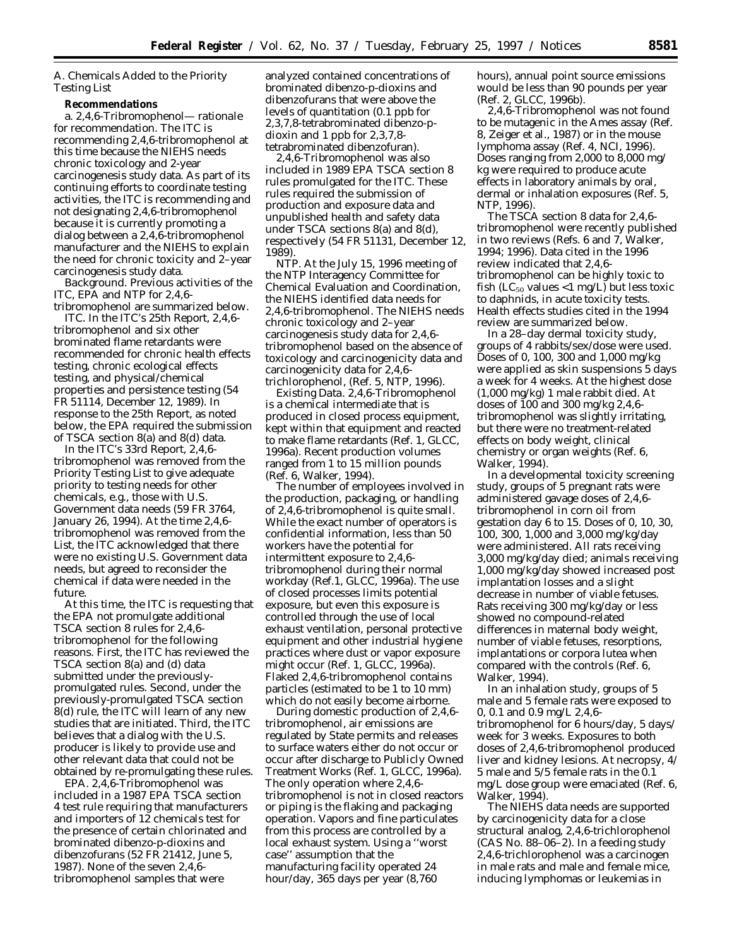# *A. Chemicals Added to the Priority Testing List*

**Recommendations**

a. *2,4,6-Tribromophenol— rationale for recommendation.* The ITC is recommending 2,4,6-tribromophenol at this time because the NIEHS needs chronic toxicology and 2-year carcinogenesis study data. As part of its continuing efforts to coordinate testing activities, the ITC is recommending and not designating 2,4,6-tribromophenol because it is currently promoting a dialog between a 2,4,6-tribromophenol manufacturer and the NIEHS to explain the need for chronic toxicity and 2–year carcinogenesis study data.

*Background.* Previous activities of the ITC, EPA and NTP for 2,4,6 tribromophenol are summarized below.

*ITC*. In the ITC's 25th Report, 2,4,6 tribromophenol and six other brominated flame retardants were recommended for chronic health effects testing, chronic ecological effects testing, and physical/chemical properties and persistence testing (54 FR 51114, December 12, 1989). In response to the 25th Report, as noted below, the EPA required the submission of TSCA section 8(a) and 8(d) data.

In the ITC's 33rd Report, 2,4,6 tribromophenol was removed from the *Priority Testing List* to give adequate priority to testing needs for other chemicals, e.g., those with U.S. Government data needs (59 FR 3764, January 26, 1994). At the time 2,4,6 tribromophenol was removed from the *List*, the ITC acknowledged that there were no existing U.S. Government data needs, but agreed to reconsider the chemical if data were needed in the future.

At this time, the ITC is requesting that the EPA not promulgate additional TSCA section 8 rules for 2,4,6 tribromophenol for the following reasons. First, the ITC has reviewed the TSCA section 8(a) and (d) data submitted under the previouslypromulgated rules. Second, under the previously-promulgated TSCA section 8(d) rule, the ITC will learn of any new studies that are initiated. Third, the ITC believes that a dialog with the U.S. producer is likely to provide use and other relevant data that could not be obtained by re-promulgating these rules.

*EPA*. 2,4,6-Tribromophenol was included in a 1987 EPA TSCA section 4 test rule requiring that manufacturers and importers of 12 chemicals test for the presence of certain chlorinated and brominated dibenzo-p-dioxins and dibenzofurans (52 FR 21412, June 5, 1987). None of the seven 2,4,6 tribromophenol samples that were

analyzed contained concentrations of brominated dibenzo-p-dioxins and dibenzofurans that were above the levels of quantitation (0.1 ppb for 2,3,7,8-tetrabrominated dibenzo-pdioxin and 1 ppb for 2,3,7,8 tetrabrominated dibenzofuran).

2,4,6-Tribromophenol was also included in 1989 EPA TSCA section 8 rules promulgated for the ITC. These rules required the submission of production and exposure data and unpublished health and safety data under TSCA sections 8(a) and 8(d), respectively (54 FR 51131, December 12, 1989).

*NTP*. At the July 15, 1996 meeting of the NTP Interagency Committee for Chemical Evaluation and Coordination, the NIEHS identified data needs for 2,4,6-tribromophenol. The NIEHS needs chronic toxicology and 2–year carcinogenesis study data for 2,4,6 tribromophenol based on the absence of toxicology and carcinogenicity data and carcinogenicity data for 2,4,6 trichlorophenol, (Ref. 5, NTP, 1996).

*Existing Data*. 2,4,6-Tribromophenol is a chemical intermediate that is produced in closed process equipment, kept within that equipment and reacted to make flame retardants (Ref. 1, GLCC, 1996a). Recent production volumes ranged from 1 to 15 million pounds (Ref. 6, Walker, 1994).

The number of employees involved in the production, packaging, or handling of 2,4,6-tribromophenol is quite small. While the exact number of operators is confidential information, less than 50 workers have the potential for intermittent exposure to 2,4,6 tribromophenol during their normal workday (Ref.1, GLCC, 1996a). The use of closed processes limits potential exposure, but even this exposure is controlled through the use of local exhaust ventilation, personal protective equipment and other industrial hygiene practices where dust or vapor exposure might occur (Ref. 1, GLCC, 1996a). Flaked 2,4,6-tribromophenol contains particles (estimated to be 1 to 10 mm) which do not easily become airborne.

During domestic production of 2,4,6 tribromophenol, air emissions are regulated by State permits and releases to surface waters either do not occur or occur after discharge to Publicly Owned Treatment Works (Ref. 1, GLCC, 1996a). The only operation where 2,4,6 tribromophenol is not in closed reactors or piping is the flaking and packaging operation. Vapors and fine particulates from this process are controlled by a local exhaust system. Using a ''worst case'' assumption that the manufacturing facility operated 24 hour/day, 365 days per year (8,760

hours), annual point source emissions would be less than 90 pounds per year (Ref. 2, GLCC, 1996b).

2,4,6-Tribromophenol was not found to be mutagenic in the Ames assay (Ref. 8, Zeiger et al., 1987) or in the mouse lymphoma assay (Ref. 4, NCI, 1996). Doses ranging from 2,000 to 8,000 mg/ kg were required to produce acute effects in laboratory animals by oral, dermal or inhalation exposures (Ref. 5, NTP, 1996).

The TSCA section 8 data for 2,4,6 tribromophenol were recently published in two reviews (Refs. 6 and 7, Walker, 1994; 1996). Data cited in the 1996 review indicated that 2,4,6 tribromophenol can be highly toxic to fish ( $LC_{50}$  values <1 mg/L) but less toxic to daphnids, in acute toxicity tests. Health effects studies cited in the 1994 review are summarized below.

In a 28–day dermal toxicity study, groups of 4 rabbits/sex/dose were used. Doses of 0, 100, 300 and 1,000 mg/kg were applied as skin suspensions 5 days a week for 4 weeks. At the highest dose (1,000 mg/kg) 1 male rabbit died. At doses of 100 and 300 mg/kg 2,4,6 tribromophenol was slightly irritating, but there were no treatment-related effects on body weight, clinical chemistry or organ weights (Ref. 6, Walker, 1994).

In a developmental toxicity screening study, groups of 5 pregnant rats were administered gavage doses of 2,4,6 tribromophenol in corn oil from gestation day 6 to 15. Doses of 0, 10, 30, 100, 300, 1,000 and 3,000 mg/kg/day were administered. All rats receiving 3,000 mg/kg/day died; animals receiving 1,000 mg/kg/day showed increased post implantation losses and a slight decrease in number of viable fetuses. Rats receiving 300 mg/kg/day or less showed no compound-related differences in maternal body weight, number of viable fetuses, resorptions, implantations or corpora lutea when compared with the controls (Ref. 6, Walker, 1994).

In an inhalation study, groups of 5 male and 5 female rats were exposed to 0, 0.1 and 0.9 mg/L 2,4,6 tribromophenol for 6 hours/day, 5 days/ week for 3 weeks. Exposures to both doses of 2,4,6-tribromophenol produced liver and kidney lesions. At necropsy, 4/ 5 male and 5/5 female rats in the 0.1 mg/L dose group were emaciated (Ref. 6, Walker, 1994).

The NIEHS data needs are supported by carcinogenicity data for a close structural analog, 2,4,6-trichlorophenol (CAS No. 88–06–2). In a feeding study 2,4,6-trichlorophenol was a carcinogen in male rats and male and female mice, inducing lymphomas or leukemias in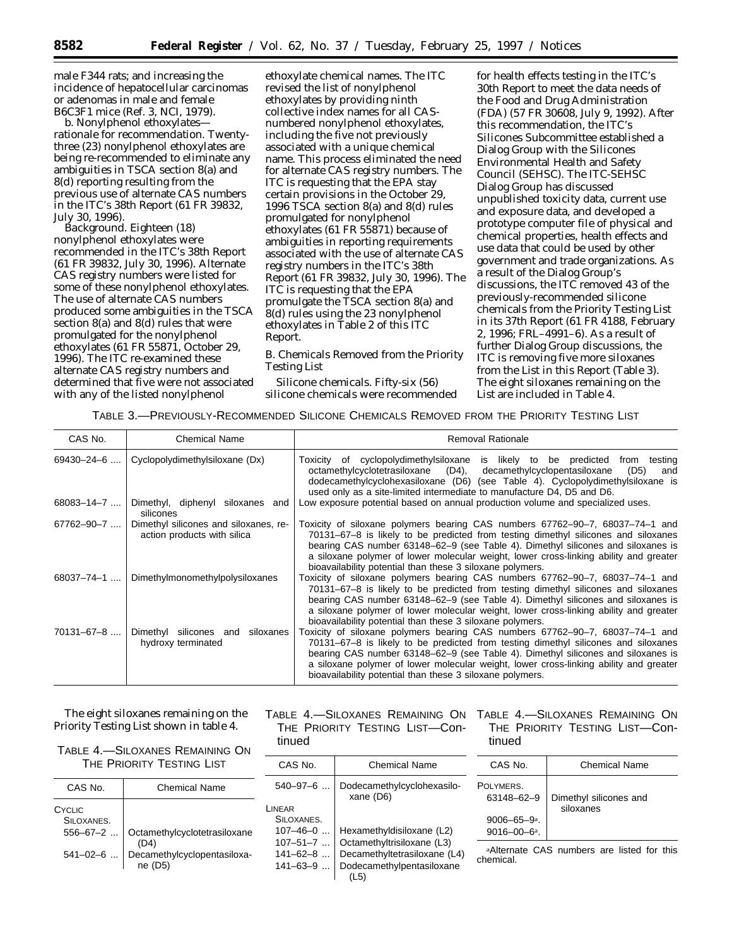male F344 rats; and increasing the incidence of hepatocellular carcinomas or adenomas in male and female B6C3F1 mice (Ref. 3, NCI, 1979).

b. *Nonylphenol ethoxylates rationale for recommendation.* Twentythree (23) nonylphenol ethoxylates are being re-recommended to eliminate any ambiguities in TSCA section 8(a) and 8(d) reporting resulting from the previous use of alternate CAS numbers in the ITC's 38th Report (61 FR 39832, July 30, 1996).

*Background.* Eighteen (18) nonylphenol ethoxylates were recommended in the ITC's 38th Report (61 FR 39832, July 30, 1996). Alternate CAS registry numbers were listed for some of these nonylphenol ethoxylates. The use of alternate CAS numbers produced some ambiguities in the TSCA section 8(a) and 8(d) rules that were promulgated for the nonylphenol ethoxylates (61 FR 55871, October 29, 1996). The ITC re-examined these alternate CAS registry numbers and determined that five were not associated with any of the listed nonylphenol

ethoxylate chemical names. The ITC revised the list of nonylphenol ethoxylates by providing ninth collective index names for all CASnumbered nonylphenol ethoxylates, including the five not previously associated with a unique chemical name. This process eliminated the need for alternate CAS registry numbers. The ITC is requesting that the EPA stay certain provisions in the October 29, 1996 TSCA section 8(a) and 8(d) rules promulgated for nonylphenol ethoxylates (61 FR 55871) because of ambiguities in reporting requirements associated with the use of alternate CAS registry numbers in the ITC's 38th Report (61 FR 39832, July 30, 1996). The ITC is requesting that the EPA promulgate the TSCA section 8(a) and 8(d) rules using the 23 nonylphenol ethoxylates in Table 2 of this ITC Report.

*B. Chemicals Removed from the Priority Testing List Silicone chemicals*. Fifty-six (56)

silicone chemicals were recommended

for health effects testing in the ITC's 30th Report to meet the data needs of the Food and Drug Administration (FDA) (57 FR 30608, July 9, 1992). After this recommendation, the ITC's Silicones Subcommittee established a Dialog Group with the Silicones Environmental Health and Safety Council (SEHSC). The ITC-SEHSC Dialog Group has discussed unpublished toxicity data, current use and exposure data, and developed a prototype computer file of physical and chemical properties, health effects and use data that could be used by other government and trade organizations. As a result of the Dialog Group's discussions, the ITC removed 43 of the previously-recommended silicone chemicals from the *Priority Testing List* in its 37th Report (61 FR 4188, February 2, 1996; FRL–4991–6). As a result of further Dialog Group discussions, the ITC is removing five more siloxanes from the *List* in this Report (Table 3). The eight siloxanes remaining on the *List* are included in Table 4.

TABLE 3.—PREVIOUSLY-RECOMMENDED SILICONE CHEMICALS REMOVED FROM THE PRIORITY TESTING LIST

| CAS No.          | <b>Chemical Name</b>                                                 | <b>Removal Rationale</b>                                                                                                                                                                                                                                                                                                                                                                                     |
|------------------|----------------------------------------------------------------------|--------------------------------------------------------------------------------------------------------------------------------------------------------------------------------------------------------------------------------------------------------------------------------------------------------------------------------------------------------------------------------------------------------------|
| $69430 - 24 - 6$ | Cyclopolydimethylsiloxane (Dx)                                       | Toxicity of cyclopolydimethylsiloxane is likely to be predicted<br>testing<br>from<br>octamethylcyclotetrasiloxane (D4), decamethylcyclopentasiloxane<br>(D5)<br>and<br>dodecamethylcyclohexasiloxane (D6) (see Table 4). Cyclopolydimethylsiloxane is<br>used only as a site-limited intermediate to manufacture D4, D5 and D6.                                                                             |
| $68083 - 14 - 7$ | Dimethyl, diphenyl siloxanes and<br>silicones                        | Low exposure potential based on annual production volume and specialized uses.                                                                                                                                                                                                                                                                                                                               |
| $67762 - 90 - 7$ | Dimethyl silicones and siloxanes, re-<br>action products with silica | Toxicity of siloxane polymers bearing CAS numbers 67762–90–7, 68037–74–1 and<br>70131–67–8 is likely to be predicted from testing dimethyl silicones and siloxanes<br>bearing CAS number 63148–62–9 (see Table 4). Dimethyl silicones and siloxanes is<br>a siloxane polymer of lower molecular weight, lower cross-linking ability and greater<br>bioavailability potential than these 3 siloxane polymers. |
| $68037 - 74 - 1$ | Dimethylmonomethylpolysiloxanes                                      | Toxicity of siloxane polymers bearing CAS numbers 67762-90-7, 68037-74-1 and<br>70131–67–8 is likely to be predicted from testing dimethyl silicones and siloxanes<br>bearing CAS number 63148–62–9 (see Table 4). Dimethyl silicones and siloxanes is<br>a siloxane polymer of lower molecular weight, lower cross-linking ability and greater<br>bioavailability potential than these 3 siloxane polymers. |
| $70131 - 67 - 8$ | Dimethyl silicones and siloxanes<br>hydroxy terminated               | Toxicity of siloxane polymers bearing CAS numbers 67762–90–7, 68037–74–1 and<br>70131–67–8 is likely to be predicted from testing dimethyl silicones and siloxanes<br>bearing CAS number 63148–62–9 (see Table 4). Dimethyl silicones and siloxanes is<br>a siloxane polymer of lower molecular weight, lower cross-linking ability and greater<br>bioavailability potential than these 3 siloxane polymers. |

The eight siloxanes remaining on the *Priority Testing List* shown in table 4.

TABLE 4.—SILOXANES REMAINING ON THE PRIORITY TESTING LIST

| CAS No.              | <b>Chemical Name</b>                               |
|----------------------|----------------------------------------------------|
| CYCLIC<br>SILOXANES. |                                                    |
| $556 - 67 - 2$       | Octamethylcyclotetrasiloxane                       |
|                      | 541-02-6    Decamethylcyclopentasiloxa-<br>ne (D5) |

THE PRIORITY TESTING LIST—Continued

| Chemical Name                                                                                                        |
|----------------------------------------------------------------------------------------------------------------------|
| Dodecamethylcyclohexasilo-<br>xane (D6)                                                                              |
|                                                                                                                      |
| Hexamethyldisiloxane (L2)<br>Octamethyltrisiloxane (L3)<br>Decamethyltetrasiloxane (L4)<br>Dodecamethylpentasiloxane |
|                                                                                                                      |

TABLE 4.—SILOXANES REMAINING ON TABLE 4.—SILOXANES REMAINING ON THE PRIORITY TESTING LIST—Continued

| CAS No.                                            | Chemical Name                       |
|----------------------------------------------------|-------------------------------------|
| OI YMFRS.<br>63148-62-9                            | Dimethyl silicones and<br>siloxanes |
| $9006 - 65 - 9$ <sup>a</sup> .<br>$9016 - 00 - 6a$ |                                     |
|                                                    |                                     |

P

aAlternate CAS numbers are listed for this chemical.